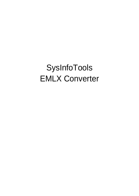SysInfoTools EMLX Converter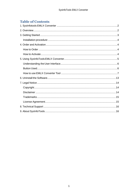# **Table of Contents**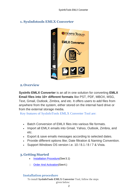# <span id="page-2-0"></span>**1. SysInfotools EMLX Converter**



## <span id="page-2-1"></span>**2.Overview**

**SysInfo EMLX Converter** is an all in one solution for converting **EMLX Email files into 10+ different formats** like PST, PDF, MBOX, MSG, Text, Gmail, Outlook, Zimbra, and etc. It offers users to add files from anywhere from the system, either stored on the internal hard drive or from the external storage media.

Key features of SysInfoTools EMLX Converter Tool are:

- Batch Conversion of EMLX files into various file formats.
- Import all EMLX emails into Gmail, Yahoo, Outlook, Zimbra, and etc.
- Export & save emails messages according to selected dates.
- Provide different options like; Date filtration & Naming Convention.
- Support Windows OS version i.e. 10 / 8.1 / 8 / 7 & Vista.

## <span id="page-2-2"></span>**3.Getting Started**

- Installation Procedure (See 3.1)
- □ [Order And Activation\(](#page-3-0)See 4.)

## <span id="page-2-3"></span>**Installation procedure**

To install **SysInfoTools EMLX Converter** Tool, follow the steps

given below: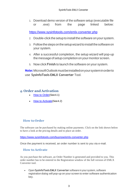1. Download demo version of the software setup (executable file or .exe) from the page linked below:

<https://www.sysinfotools.com/emlx-converter.php>

- 2. Double-click the setup to install the software onyour system.
- 3. Follow the steps on the setup wizard to install the software on your system.
- 4. After a successful completion, the setup wizard will pop-up the message of setup completion on your monitor screen.
- 5. Now click **Finish** to launch the software on your system.

**Note:**MicrosoftOutlookmustbeinstalledonyoursysteminorderto use **SysInfoTools EMLX Converter** Tool.

## <span id="page-3-0"></span>**4. Order and Activation**

- [How to Order](#page-3-1)(See4.1)
- [How to Activate](#page-3-2)(See4.2)

## <span id="page-3-1"></span>**How to Order**

The software can be purchased by making online payments. Click on the link shown below to have a look at the pricing details and to place an order.

<https://www.sysinfotools.com/buynow/emlx-converter.php>

Once the payment is received, an order number is sent to you via e-mail.

## <span id="page-3-2"></span>**How to Activate**

As you purchase the software, an Order Number is generated and provided to you. This order number has to be entered in the Registration window of the full version of EMLX Converter tool.

• Open **SysInfoTools EMLX Converter** software in your system, software registration dialog will pop-up on your screen to enter software authentication key.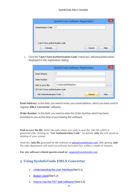| SysInfoTools Software Registration | × |
|------------------------------------|---|
| Authentication Code:               |   |
|                                    |   |
|                                    |   |
| I don't have authentication code   |   |
| Cancel<br>Help<br><b>Activate</b>  |   |

• Click the **"I don't have Authentication Code"** check box, following fields will be displayed in the registration dialog:

|                                  | SysInfoTools Software Registration | ×        |
|----------------------------------|------------------------------------|----------|
| Email Address:                   |                                    |          |
| Order Number:                    |                                    |          |
| Path to save file:               | C:\Users\SAM\Desktop               | $\cdots$ |
| I don't have authentication code |                                    |          |
| Get Authenticatication Code      | Cancel<br>Help                     |          |

**Email Address:** In this field, you need to enter your email address, which you have used to register **EMLX Converter** software.

**Order Number:** In this field, you need to enter the Order Number which has been provided to you at the time of purchasing the software.

**Path to save the file:** Select the path where you want to save the .info file which is generated after clicking on **"Get Authentication Code"**, by default **.info** file will saved on desktop of your system.

Send this **.info file** generated by the software at [sales@sysinfotools.com,](mailto:sales@sysinfotools.com) after getting **.info** file sales department will send you software activation key within a couple of minutes.

**For any software related queries email at:** [support@sysinfotools.com](mailto:support@sysinfotools.com)

## <span id="page-4-0"></span>**5. Using SysInfoTools EMLX Converter**

- [Understanding](#page-5-0) the User Interface (See 5.1)
- [Button Used](#page-5-1)(See 5.2)
- How to Use the PST Split [software?](#page-6-0)(See 5.3)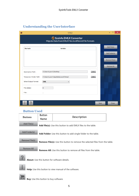# <span id="page-5-0"></span>**Understanding the UserInterface**

| $\bullet$                     | V <sub>19.0</sub>                                                                       |      | ×              |
|-------------------------------|-----------------------------------------------------------------------------------------|------|----------------|
|                               | <b>Sysinfo EMLX Converter</b><br>Migrate Data from EMLX Files to different File Formats |      |                |
| <b>File Path</b>              | <b>isFolder</b>                                                                         |      | Add File(s)    |
|                               |                                                                                         |      | Add Folder(s)  |
|                               |                                                                                         |      | Remove File(s) |
|                               |                                                                                         |      | Remove All     |
| <b>Destination Path:</b>      | C:\Users\user1\Desktop<br>                                                              |      |                |
| <b>Temporary Folder Path:</b> | C:\Users\user1\AppData\Local\Temp\<br>$\cdots$                                          |      |                |
| Select Output Format:         | <b>EML</b><br>٧                                                                         |      |                |
| File Added:                   | o                                                                                       |      |                |
| File:                         | $\mathbf{r}$                                                                            |      |                |
|                               |                                                                                         |      |                |
| $\mathbb{R}$                  |                                                                                         | Save | Close          |

#### <span id="page-5-1"></span>**Button Used**

| <b>Buttons</b> | <b>Button</b><br><b>Name</b> | <b>Description</b>                                                                  |  |
|----------------|------------------------------|-------------------------------------------------------------------------------------|--|
| Add File(s)    |                              | <b>Add file(s):</b> Use this button to add EMLX files to the table.                 |  |
| Add Folder(s)  |                              | Add Folder: Use this button to add single folder to the table.                      |  |
| Remove File(s) |                              | <b>Remove File(s):</b> Use this button to remove the selected files from the table. |  |
| Remove All     |                              | <b>Remove All:</b> Use this button to remove all files from the table.              |  |
|                |                              | About: Use this button for software details.                                        |  |
|                |                              | Help: Use this button to view manual of the software.                               |  |



**Buy:** Use this button to buy software.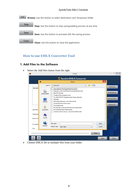#### SysInfoTools EMLX Converter



## <span id="page-6-0"></span>**How to use EMLX Converter Tool**

#### **1. Add Files to the Software**

• Select the Add files button from the right.

|                       | $\bullet$                      | Open                                                                                                                                                                                                                                                                                                                                     | $\boldsymbol{\times}$                         |
|-----------------------|--------------------------------|------------------------------------------------------------------------------------------------------------------------------------------------------------------------------------------------------------------------------------------------------------------------------------------------------------------------------------------|-----------------------------------------------|
|                       | Look in:                       | ● ■ ■<br>emixcase<br>$\checkmark$                                                                                                                                                                                                                                                                                                        | Add File(s)                                   |
| <b>File Path</b>      | <b>Recent Items</b><br>Desktop | Aanvullende info HypotheekVisie.emlx<br>Afspraak vanavond financiering Hypotheek.emlx<br>Betr RE HG.emlx<br>Feedback Businessplan.emlx<br>Fw #Q201621971 Update inzake Graag tab.emlx<br>HG.emlx<br>Netwerkproblemen vanochtend.emlx<br>Overzicht leads Online.emlx<br>Passeerlijst.emlx<br>Re Afspraak vanavond financiering Hypot.emlx | Add Folder(s)<br>Remove File(s)<br>Remove All |
| Destinati<br>Temporar | <b>Documents</b>               | <b>RE Overzicht leads Online.emlx</b><br>Scenario Advies nieuws opvoeren bestaa.emlx                                                                                                                                                                                                                                                     |                                               |
| Select Ou             | This PC                        |                                                                                                                                                                                                                                                                                                                                          |                                               |
| File Adde             | <b>Network</b>                 | File name:<br>Open<br>Files of type:<br>Cancel<br><b>EMLX Files</b><br>$\checkmark$                                                                                                                                                                                                                                                      |                                               |
| File:                 |                                |                                                                                                                                                                                                                                                                                                                                          |                                               |

• Choose EMLX file or multiple files from your folder.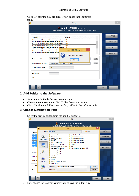• Click OK after the files are successfully added in the software table.

|                                                           |                                                     | V19.0                                                                                   |      |                |
|-----------------------------------------------------------|-----------------------------------------------------|-----------------------------------------------------------------------------------------|------|----------------|
|                                                           |                                                     | <b>Sysinfo EMLX Converter</b><br>Migrate Data from EMLX Files to different File Formats |      |                |
| <b>File Path</b>                                          |                                                     | <b>isFolder</b>                                                                         |      | Add File(s)    |
| C:\Users\user1\Downloads\emlxcase\Aanvullen               |                                                     | False                                                                                   | ۸    |                |
| C:\Users\user1\Downloads\emlxcase\Afspraak v              |                                                     | False                                                                                   |      | Add Folder(s)  |
| C:\Users\user1\Downloads\emlxcase\Betr RE HG              |                                                     | False                                                                                   |      |                |
| C:\Users\user1\Downloads\emlxcase\Feedback                |                                                     | False                                                                                   |      |                |
| C:\Users\user1\Downloads\emlxcase\Fw #Q201                |                                                     | False                                                                                   |      | Remove File(s) |
| C:\Users\user1\Downloads\emlxcase\HG.                     |                                                     | ×                                                                                       |      |                |
| C:\Users\user1\Downloads\emlxcase\Net                     |                                                     | <b>SysInfo EMLX Converter</b>                                                           |      |                |
| <b>Destination Path:</b><br><b>Temporary Folder Path:</b> | C:\Users\user:<br>C:\Users\user1yxpppatatocartrempt | All files added successfully<br>ок                                                      | <br> |                |
| Select Output Format:                                     | <b>EML</b>                                          | v                                                                                       |      |                |
| File Added:                                               | 12                                                  |                                                                                         |      |                |
| File:                                                     |                                                     |                                                                                         |      |                |
|                                                           |                                                     |                                                                                         |      |                |
| P                                                         |                                                     |                                                                                         | Save | Close          |

### **2. Add Folder to the Software**

- Select the Add Folder button from the right.
- Choose a folder containing EMLX files from your system.
- Click OK after the folder is successfully added in the software table.

#### **3. Choose Destination Path**

• Select the browse button from the add file windows.

|                                                                                              | $\bullet$                      |                                                                                                                                     | Open                                                                                                                                           | $\times$ |                                 |
|----------------------------------------------------------------------------------------------|--------------------------------|-------------------------------------------------------------------------------------------------------------------------------------|------------------------------------------------------------------------------------------------------------------------------------------------|----------|---------------------------------|
| <b>File Pat</b>                                                                              | Look in:                       | Desktop                                                                                                                             | ♪ ビ田 -<br>$\checkmark$                                                                                                                         |          | Add File(s)                     |
| C:\Users<br>C:\Users<br>C:\Users<br>C:\Users<br>C:\Users<br>C:\Users<br>C:\Users<br>C:\Users | <b>Recent Items</b><br>Desktop | content part<br>democase<br>desktop data-mahi<br>embttest<br>how to page layout<br>mboxcase Eml Format<br>mboxcase Multi Pst Format | sysinfo-20-12-18<br>SysInfoToolsSoftware<br>SysInfoToolsSoftware(1)<br>SysInfoToolsSoftware(2)<br>SysInfoToolsSoftware(3)<br>test.pst<br>TEST1 |          | Add Folder(s)<br>Remove File(s) |
| <b>Destinat</b><br>Tempora                                                                   | <b>Documents</b>               | mboxcase_Pdf_Format<br>mboxcase1_Eml_Format<br>mboxcase2_Eml_Format<br>mboxcase3 Eml Format<br>My Files                             | windows-data-recovery-toolkit                                                                                                                  |          | Remove All                      |
| Select O                                                                                     | This PC                        | onedrive<br>Scanpst<br>SysInfo 16-04-19 14-32-38<br>sysinfo-8-1-19                                                                  |                                                                                                                                                |          |                                 |
| File Add                                                                                     |                                | Folder name:<br>C:\Users\user1\Desktop\emlxtest                                                                                     |                                                                                                                                                | Open     |                                 |
| File:                                                                                        | <b>Network</b>                 | Files of type:                                                                                                                      | v                                                                                                                                              | Cancel   |                                 |

• Now choose the folder in your system to save the output file.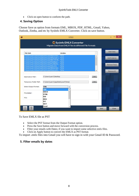• Click on open button to conform the path.

## **4. Saving Option**

Choose Save as option from formats EML, MBOX, PDF, HTML, Gmail, Yahoo, Outlook, Zimba, and etc by SysInfo EMLX Converter. Click on save button.

|                                                    |                                                              | V <sub>19.0</sub>      |                                                        |      |                |
|----------------------------------------------------|--------------------------------------------------------------|------------------------|--------------------------------------------------------|------|----------------|
|                                                    |                                                              | Sysinfo EMLX Converter | Migrate Data from EMLX Files to different File Formats |      |                |
| <b>File Path</b>                                   |                                                              | <b>isFolder</b>        |                                                        |      | Add File(s)    |
| C:\Users\user1\Downloads\emlxcase\Aanvullen        |                                                              | False                  |                                                        | Λ    |                |
| C:\Users\user1\Downloads\emlxcase\Afspraak v.      |                                                              | False                  |                                                        |      | Add Folder(s)  |
| C:\Users\user1\Downloads\emlxcase\Betr RE HG       |                                                              | False                  |                                                        |      |                |
| C:\Users\user1\Downloads\emlxcase\Feedback         |                                                              | False                  |                                                        |      |                |
| C:\Users\user1\Downloads\emlxcase\Fw #Q201         |                                                              | False                  |                                                        |      | Remove File(s) |
| C:\Users\user1\Downloads\emlxcase\HG.emlx          |                                                              | False                  |                                                        |      |                |
| C:\Users\user1\Downloads\emlxcase\Netwerkpr        |                                                              | False                  |                                                        |      |                |
| C:\Users\user1\Downloads\emlxcase\Overzicht        |                                                              | False                  |                                                        | v    | Remove All     |
| <b>Destination Path:</b><br>Temporary Folder Path: | C:\Users\user1\Desktop<br>C:\Users\user1\AppData\Local\Temp\ |                        |                                                        | <br> |                |
| Select Output Format:                              | EML                                                          |                        |                                                        |      |                |
|                                                    | <b>EML</b>                                                   | ۸                      |                                                        |      |                |
| File Added:                                        | <b>MBOX</b>                                                  |                        |                                                        |      |                |
|                                                    | <b>HTML</b>                                                  |                        |                                                        |      |                |
| File:                                              | <b>PDF</b>                                                   |                        |                                                        |      |                |
|                                                    | <b>MSG</b>                                                   |                        |                                                        |      |                |
|                                                    | <b>PST</b>                                                   |                        |                                                        |      |                |
|                                                    | <b>MHT</b>                                                   |                        |                                                        |      |                |
|                                                    | Gmail                                                        |                        |                                                        |      |                |
|                                                    |                                                              |                        |                                                        | Save | Close          |

To Save EMLX file as PST

- Select the PST format from the Output Format option.
- Press the Save button and move forward with the conversion process.
- Filter your emails with Dates; if you want to import some selective emlx files.
- Click on Apply button to convert the EMLX as PST format.

To import .emlx files into Gmail you will have to sign in with your Gmail ID & Password.

### **5. Filter emails by dates**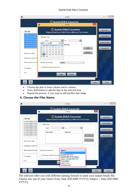#### SysInfoTools EMLX Converter

|                                                                                      | V <sub>19.0</sub>                                                                                                                             |                |
|--------------------------------------------------------------------------------------|-----------------------------------------------------------------------------------------------------------------------------------------------|----------------|
|                                                                                      | <b>6</b> Sysinfo EMLX Converter                                                                                                               |                |
|                                                                                      | $\boldsymbol{\times}$<br>$\overline{\mathbf{O}}$<br>V19.0                                                                                     |                |
| <b>File Path</b><br>C:\Users\user1\Dow                                               | Sysinfo EMLX Converter<br>Migrate Data from EMLX Files to different File Formats                                                              | Add File(s)    |
| C:\Users\user1\Dow<br>C:\Users\user1\Dow                                             | √ Date Filter                                                                                                                                 | Add Folder(s)  |
| C:\Users\user1\Dow<br>C:\Users\user1\Dow<br>C:\Users\user1\Dow<br>C:\Users\user1\Dow | 曾<br>$0 - 0 - 0$<br>From:<br>To:<br><b>FHEE</b><br>ᆔ<br>$2018 -$<br>April<br><b>End Date</b><br>Sun Mon Tue Wed Thu Fri Sat                   | Remove File(s) |
| C:\Users\user1\Dow                                                                   | $14^{1}$<br>$\overline{2}$<br>3<br>5<br>6<br>$\blacktriangleleft$<br>7<br>4<br>Add<br>8<br>13<br>14<br>15 <sub>1</sub><br>10<br>11<br>12<br>9 | Remove All     |
| <b>Destination Path:</b>                                                             | 16 15<br>16<br>18<br>19<br>20<br>21<br>-17<br>Remove<br>22<br>23<br>24<br>25<br>27<br>28<br>17 <sup>1</sup><br>26                             |                |
| <b>Temporary Folder Pa</b>                                                           | 18 29<br>30                                                                                                                                   |                |
| Select Output Forma                                                                  | <b>Subject</b><br>Naming Convention:<br>$\checkmark$                                                                                          |                |
| File Added:                                                                          | Maintain Folder hierarchy                                                                                                                     |                |
| File:                                                                                | Cancel<br>Apply                                                                                                                               |                |
|                                                                                      |                                                                                                                                               |                |
| ?                                                                                    | Save                                                                                                                                          | Close          |

- Choose the date in from column and to column.
- Press Add button to add the date in the selected area.<br>• Repeat the process, if you want to add another date ra
- Repeat the process, if you want to add another date range.

### **6. Choose the Files Name**

|                                                                   | V19.0                                                                                              |                |
|-------------------------------------------------------------------|----------------------------------------------------------------------------------------------------|----------------|
|                                                                   | <b>6</b> Sysinfo EMLX Converter<br>×<br>$\bullet$<br>V19.0                                         |                |
| <b>File Path</b><br>C:\Users\Administra                           | <b>Sysinfo EMLX Converter</b><br>Migrate Data from EMLX Files to different File Formats            | Add File(s)    |
| C:\Users\Administra<br>C:\Users\Administra<br>C:\Users\Administra | Date Filter<br>$\frac{600}{1000}$ To:<br>▒                                                         | Add Folder(s)  |
| C:\Users\Administra<br>C:\Users\Administra<br>C:\Users\Administra | From:<br><b>Start Date</b><br><b>End Date</b>                                                      | Remove File(s) |
| C:\Users\Administra                                               | Add<br>Remove                                                                                      | Remove All     |
| <b>Destination Path:</b><br><b>Temporary Folder Pa</b>            |                                                                                                    |                |
| <b>Select Output Forma</b>                                        | <b>Subject</b><br>Naming Convention:<br>ш<br><b>Subject</b>                                        |                |
| File Added:                                                       | Date(DD-MM-YYYY<br>Maintain Folder hierarch<br>Date(DD-MM-YYYY)+Subject<br>Subject+Date(DD-MM-YYYY |                |
| File *                                                            | From+Subject<br>Subject+From<br><b>AutoIncrement</b>                                               |                |
|                                                                   | Save                                                                                               | Close          |

The software offer you with different naming formats to same your output emails file. Choose any one of your choice from; Date (DD-MM-YYYY), Subject + Date (DD-MM-YYYY).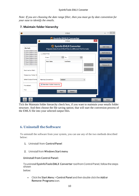*Note: If you are choosing the date range filter, then you must go by date convention for your ease to identify the emails.*

|                                                                                          | V19.0                                                                                   |                |
|------------------------------------------------------------------------------------------|-----------------------------------------------------------------------------------------|----------------|
|                                                                                          | <b>6</b> Sysinfo EMLX Converter<br>$\times$<br>$\bullet$<br>V19.0                       |                |
| <b>File Path</b><br>C:\Users\Administra                                                  | <b>Sysinfo EMLX Converter</b><br>Migrate Data from EMLX Files to different File Formats | Add File(s)    |
| C:\Users\Administra<br>C:\Users\Administra                                               | <b>Date Filter</b>                                                                      | Add Folder(s)  |
| C:\Users\Administra<br>C:\Users\Administra<br>C:\Users\Administra<br>C:\Users\Administra | 鷗<br>鷗<br>From:<br>To:<br><b>Start Date</b><br><b>End Date</b>                          | Remove File(s) |
| C:\Users\Administra                                                                      | Add                                                                                     | Remove All     |
| <b>Destination Path:</b>                                                                 | Remove                                                                                  |                |
| <b>Temporary Folder Pa</b>                                                               |                                                                                         |                |
| <b>Select Output Forma</b>                                                               | <b>Subject</b><br>Naming Convention:<br>u                                               |                |
| File Added:                                                                              | Maintain Folder hierarchy                                                               |                |
| File:                                                                                    | Cancel<br>Apply                                                                         |                |
| P                                                                                        | Save                                                                                    | Close          |

### **7. Maintain folder hierarchy**

Tick the Maintain folder hierarchy check box, if you want to maintain your emails folder structure. And then choose the file saving option; that will start the conversion process of the EMLX file into your selected output files.

## <span id="page-10-0"></span>**6. Uninstall theSoftware**

To uninstall the software from your system, you can use any of the two methods described below:

- **1.** Uninstall from **ControlPanel**
- **2.** Uninstall from **Windows Start menu**

#### **Uninstall from Control Panel:**

Touninstall**SysInfoToolsEMLX Converter** toolfromControlPanel,followthesteps shown below:

• Click the **Start Menu** > **Control Panel** and then double click the **Add or Remove Programs** icon.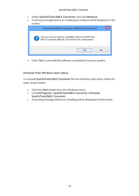- Select **SysInfoTools EMLX Converter** and click **Remove**.
- A warning message before un-installing the software will be displayed on the screen.

| SysInfoTools EMLX Converter x86(Full) v4.0 Uninstall                                                                 |
|----------------------------------------------------------------------------------------------------------------------|
| Are you sure you want to completely remove SysInfoTools<br>EML X Converter x86(Full) v4.0 and all of its components? |
| <br>No.<br>7 p.                                                                                                      |

• Click **'Yes'** to uninstall the software completely from your system.

#### **Uninstall from Windows Start menu:**

To uninstall **SysInfoTools EMLX Converter** file from Windows Start menu, follow the steps shown below:

- Click the **Start** button from the Windows menu.
- Click**AllPrograms**>**SysInfoToolsEMLX Converter>Uninstall SysInfoToolsEMLX Converter**.
- A warning message before un-installingwill be displayed on the screen.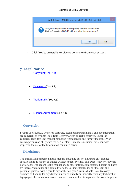

• Click **'Yes'** to uninstall the software completely from your system.

## <span id="page-12-0"></span>**7. Legal Notice**

[Copyright\(](#page-12-1)See 7.1)

- [Disclaimer](#page-12-2)(See 7.2)
- [Trademarks](#page-13-0)(See 7.3)
- [License Agreement](#page-13-1)(See7.4)

## <span id="page-12-1"></span>**Copyright**

SysInfoTools EMLX Converter software, accompanied user manual and documentation are copyright of SysInfoTools Data Recovery, with all rights reserved. Under the copyright laws, this user manual cannot be reproduced in any form without the Prior written permission of SysInfoTools. No Patent Liability is assumed, however, with respect to the use of the Information contained herein.

## <span id="page-12-2"></span>**Disclaimer**

The Information contained in this manual, including but not limited to any product specifications, is subject to change without notice. SysInfoTools Data Recovery Provides no warranty with regard to this manual or any other information contained herein and here by expressly disclaims any implied warranties of merchantability or fitness for any particular purpose with regard to any of the foregoing SysInfoTools Data Recovery assumes no liability for any damages incurred directly or indirectly from any technical or typographical errors or omissions contained herein or for discrepancies between the product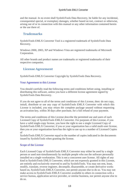and the manual. In no event shall SysInfoTools Data Recovery, be liable for any incidental, consequential special, or exemplary damages, whether based on tort, contract or otherwise, arising out of or in connection with this manual or any other information contained herein or the use there of.

## <span id="page-13-0"></span>**Trademarks**

SysInfoTools EMLX Converter Tool is a registered trademark of SysInfoTools Data Recovery.

Windows 2000, 2003, XP and Windows Vista are registered trademarks of Microsoft Corporation.

All other brands and product names are trademarks or registered trademarks of their respective companies.

### <span id="page-13-1"></span>**License Agreement**

SysInfoTools EMLX Converter Copyright by SysInfoTools Data Recovery.

#### Your Agreement to this License

You should carefully read the following terms and conditions before using, installing or distributing this software, unless you have a different license agreement signed by SysInfoTools Data Recovery.

If you do not agree to all of the terms and conditions of this License, then: do not copy, install, distribute or use any copy of SysInfoTools EMLX Converter with which this License is included, you may return the complete package unused without requesting an activation key, within 30 days after purchase, for a full refund of your payment.

The terms and conditions of this License describe the permitted use and users of each Licensed Copy of SysInfoTools EMLX Converter. For purposes of this License, if you have a valid single-copy license, you have the right to use a single Licensed Copy of SysInfoTools EMLX Converter; if you or your organization has a valid multi-user license, then you or your organization have/has the right to use up to a number of Licensed Copies of

SysInfoTools EMLX Converter equal to the number of copies indicated in the documents issued by SysInfoTools when granting the license.

#### Scope of the License

Each Licensed Copy of SysInfoTools EMLX Converter may either be used by a single person or used non-simultaneously by multiple people who use the software personally installed on a single workstation. This is not a concurrent user license. All rights of any kind in SysInfoTools EMLX Converter, which are not expressly granted in this License, are entirely and exclusively reserved to and by SysInfoTools. You may not rent, lease, modify, translate, reverse engineer, decompile, disassemble, or create derivative works based on, SysInfoTools EMLX Converter, nor permit anyone else to do so. You may not make access to SysInfoTools EMLX Converter available to others in connection with a service bureau, application service provider, or similar business, nor permit anyone else to do so.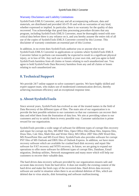#### Warranty Disclaimers and Liability Limitations

SysInfoTools EMLX Converter, and any and all accompanying software, data and materials, are distributed and provided AS-IT-IS and with no warranties of any kind, whether expressed or implied. In particular, there is no warranty for the quality of data recovered. You acknowledge that good data processing procedure dictates that any program, including SysInfoTools EMLX Converter, must be thoroughly tested with noncritical data before there is any reliance on it, and you hereby assume the entire risk of all use of the copies of SysInfoTools EMLX Converter covered by this License. This disclaimer of warranty constitutes an essential part of this License.

In addition, in no event does SysInfoTools authorize you or anyone else to use SysInfoTools EMLX Converter in applications or systems where SysInfoTools EMLX Converter failure to perform can reasonably be expected to result in a significant physical injury, or in loss of life. Any such use is entirely at your own risk, and you agree to hold SysInfoTools harmless from all claims or losses relating to such unauthorized use. You agree to hold SysInfoTools Data Recovery harmless from any and all claims or losses relating to such unauthorized use.

# <span id="page-14-0"></span>**8. Technical Support**

We provide 24/7 online support to solve customer's queries. We have highly skilled and expert support team, who makes use of modernized communication devices, thereby achieving maximum efficiency and an exceptional response time.

# <span id="page-14-1"></span>**9. About SysInfoTools**

Since several years, SysInfoTools has evolved as one of the trusted names in the field of Data Recovery of the different types of files. The main aim of our organization is to provide the best possible solution to our customers so that our customers can recover their data and relief them from the frustration of data loss. We aim at providing values to our customers and try to satisfy them in every possible way. Customer satisfaction is prime reward for our organization.

SysInfoTools provides a wide range of software for different types of corrupt files recovery and repair for corrupt zip files, MS BKF files, Open Office files (Base files, Impress files, Draw files, Calc files, Math files and Writer files), MS Office 2007 files (MS Word files, MS PowerPoint files and MS Excel files). SysInfoTools also provides software for corrupt PST files of MS Outlook and DBX files of Outlook Express. In addition, we have more recovery software which are available for crashed hard disk recovery and repair like software for FAT recovery and NTFS recovery. In future, we are going to expand our operations to offer more software for different types of corrupt files, Database, Email migration, Desktop utilities, Network management and many more which will help our customers to recover their valuable data.

The hard drives data recovery software provided by our organization ensures safe and accurate data recovery from the hard drive. It does not modify the existing content of the hard drive and make the fresh copy of the recovered data. Hard drives data recovery software are useful in situation when there is an accidental deletion of files, which are deleted due to virus attacks, disk formatting and software malfunctioning.